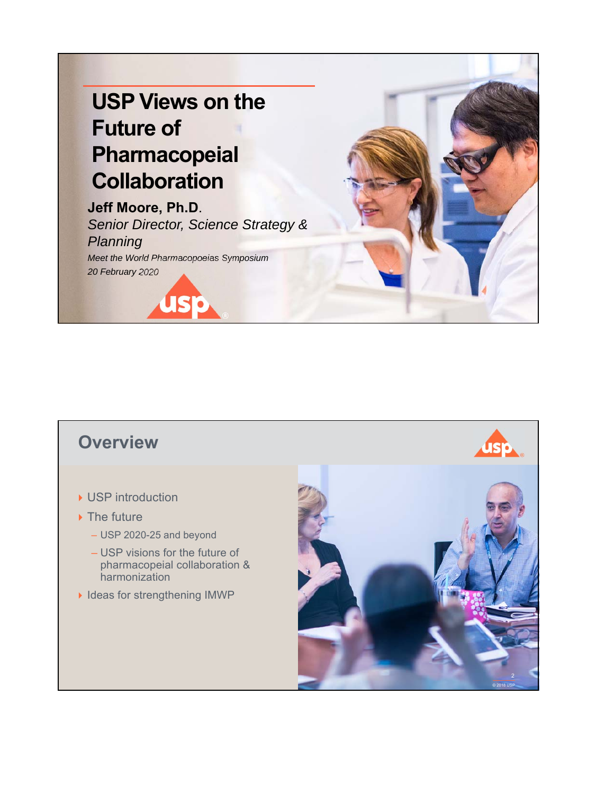

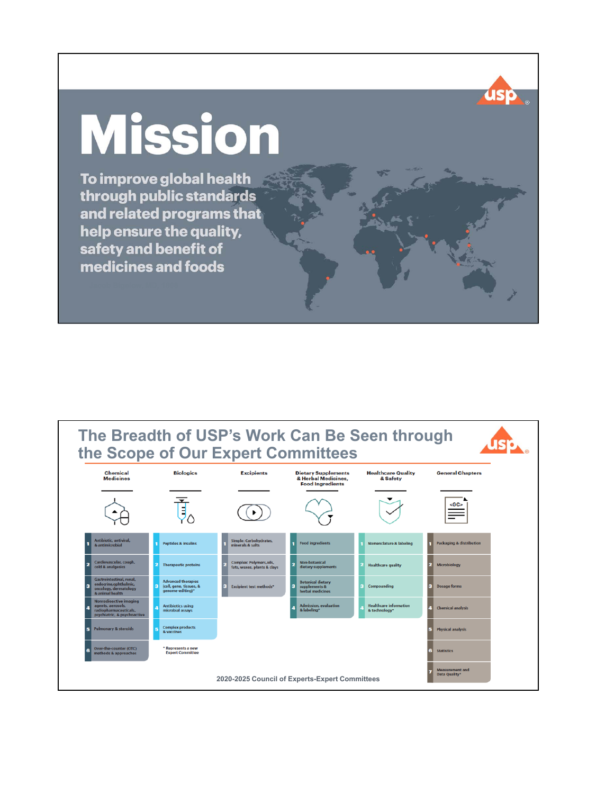# **Mission**

To improve global health through public standards and related programs that help ensure the quality, safety and benefit of medicines and foods



**USP**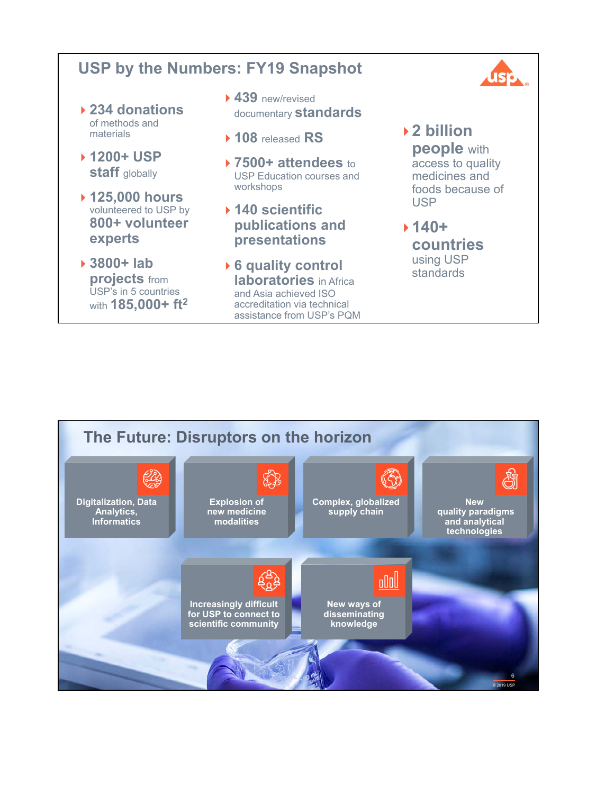#### **USP by the Numbers: FY19 Snapshot 234 donations** of methods and **439** new/revised documentary **standards**

materials

 **1200+ USP staff** globally

**experts**

**3800+ lab** 

**projects** from USP's in 5 countries with **185,000+ ft2**

 **125,000 hours**  volunteered to USP by **800+ volunteer** 

- **108** released **RS**
- **7500+ attendees** to USP Education courses and workshops
- **140 scientific publications and presentations**
- **6 quality control laboratories** in Africa and Asia achieved ISO accreditation via technical assistance from USP's PQM

#### **2 billion people** with access to quality medicines and foods because of USP

IS :

#### **140+ countries**  using USP standards

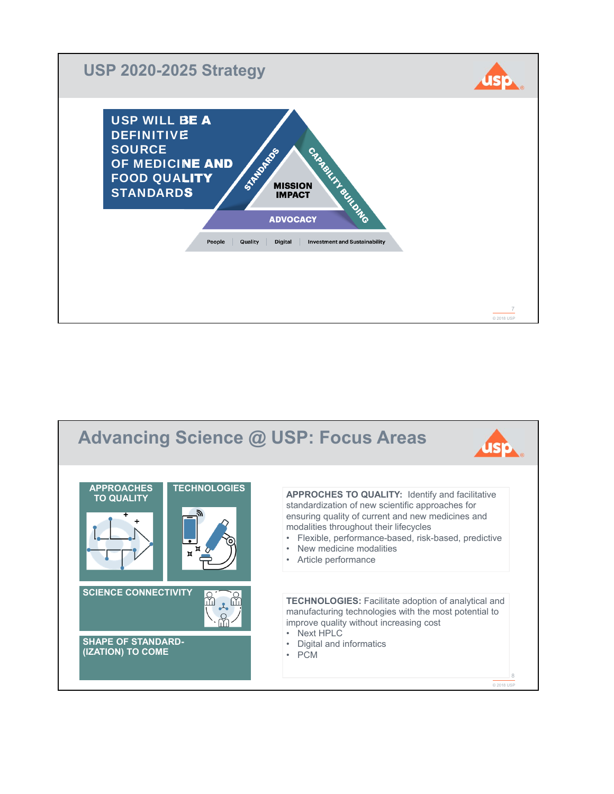

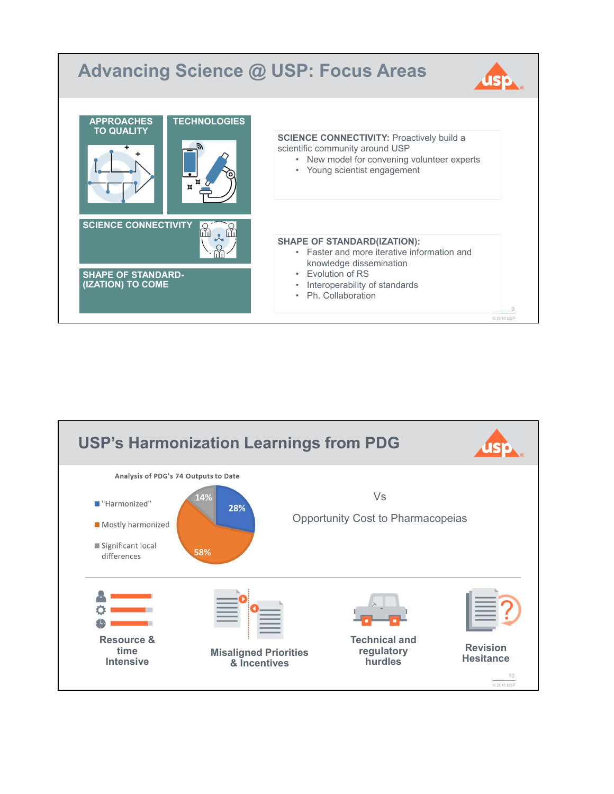

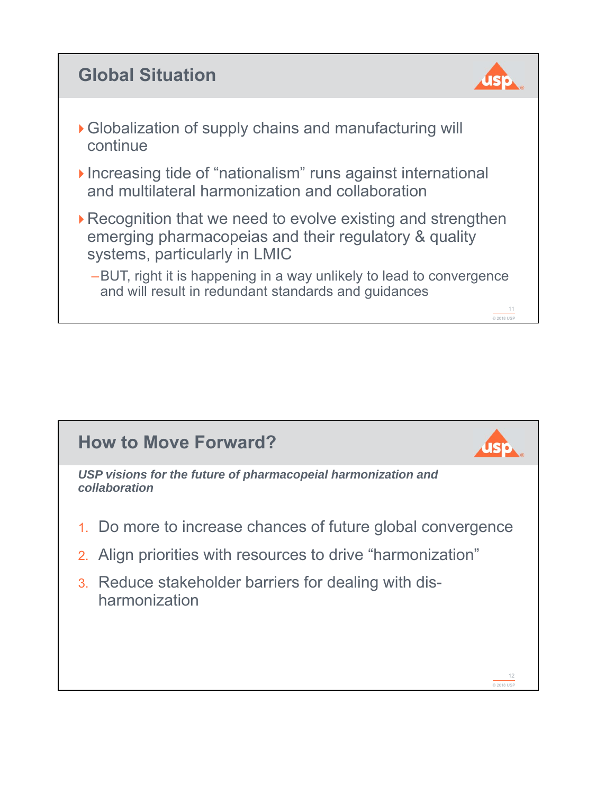# **Global Situation**



11 © 2018 USP

- Globalization of supply chains and manufacturing will continue
- Increasing tide of "nationalism" runs against international and multilateral harmonization and collaboration
- ▶ Recognition that we need to evolve existing and strengthen emerging pharmacopeias and their regulatory & quality systems, particularly in LMIC
	- –BUT, right it is happening in a way unlikely to lead to convergence and will result in redundant standards and guidances

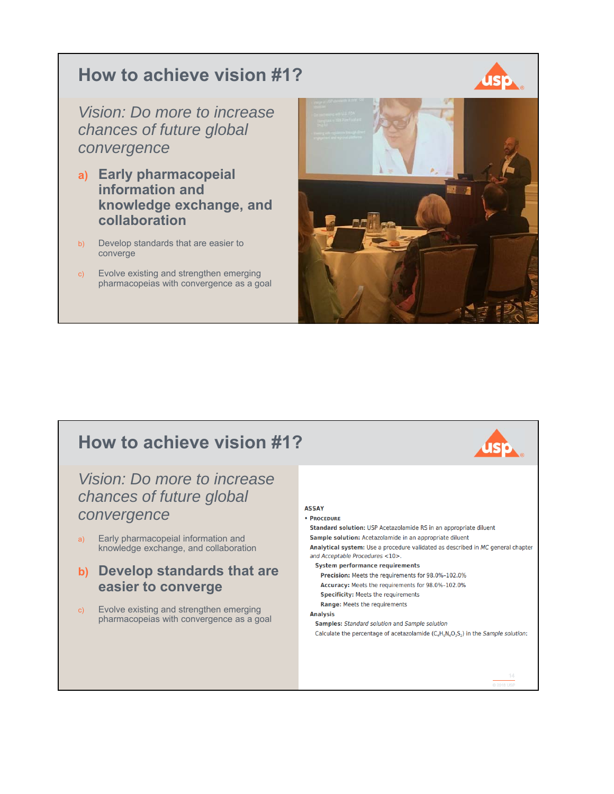## **How to achieve vision #1?**



*Vision: Do more to increase chances of future global convergence*

- **a) Early pharmacopeial information and knowledge exchange, and collaboration**
- b) Develop standards that are easier to converge
- c) Evolve existing and strengthen emerging pharmacopeias with convergence as a goal



# **How to achieve vision #1?**

### *Vision: Do more to increase chances of future global convergence*

- a) Early pharmacopeial information and knowledge exchange, and collaboration
- **b) Develop standards that are easier to converge**
- c) Evolve existing and strengthen emerging pharmacopeias with convergence as a goal

#### **ASSAY**

External contract of the solution of the solution of the solution of the solution of the solution of the solution of the solution of the solution of the solution of the solution of the solution of the solution of the solut  $\cdot$  PROCEDURE Standard solution: USP Acetazolamide RS in an appropriate diluent Sample solution: Acetazolamide in an appropriate diluent Analytical system: Use a procedure validated as described in MC general chapter and Acceptable Procedures <10>. **System performance requirements** Precision: Meets the requirements for 98.0%-102.0% Accuracy: Meets the requirements for 98.0%-102.0% **Specificity: Meets the requirements** Range: Meets the requirements **Analysis Samples:** Standard solution and Sample solution Calculate the percentage of acetazolamide  $(C_4H_6N_4O_3S_2)$  in the Sample solution: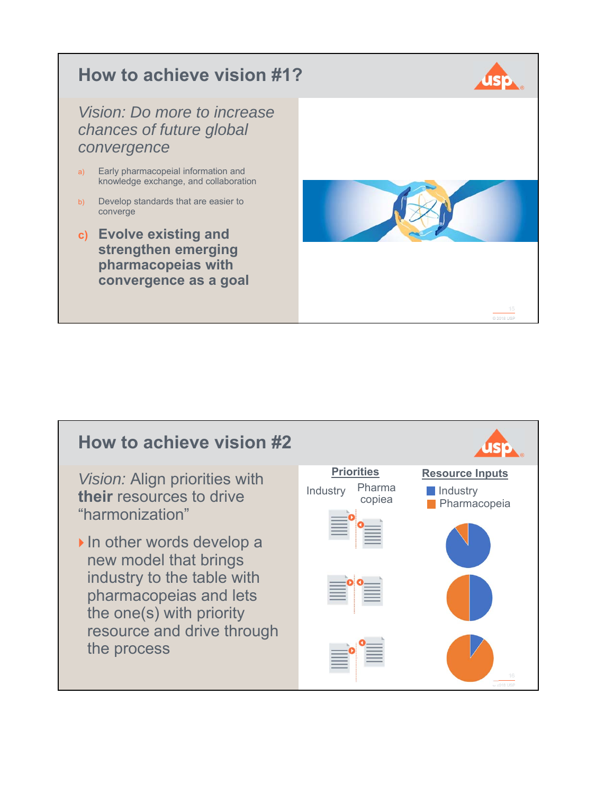

# **How to achieve vision #2**

*Vision:* Align priorities with **their** resources to drive "harmonization"

In other words develop a new model that brings industry to the table with pharmacopeias and lets the one(s) with priority resource and drive through the process

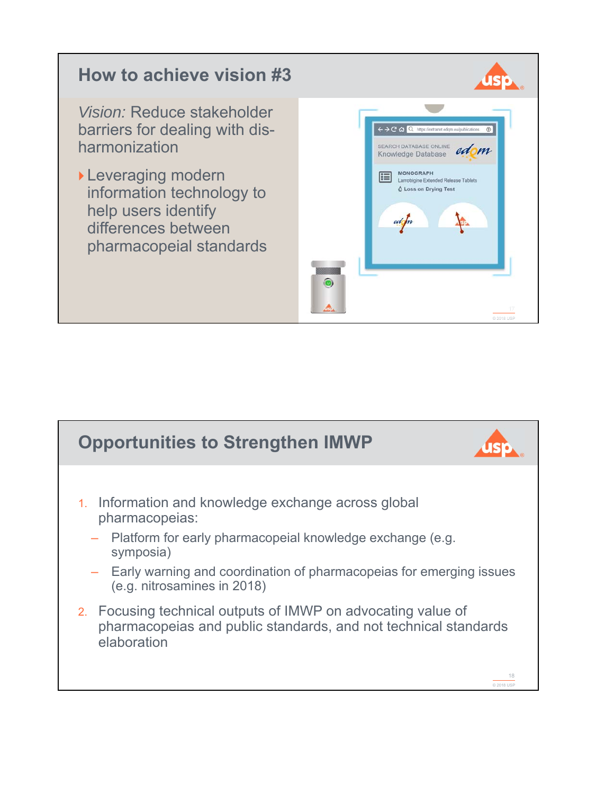

![](_page_8_Figure_1.jpeg)